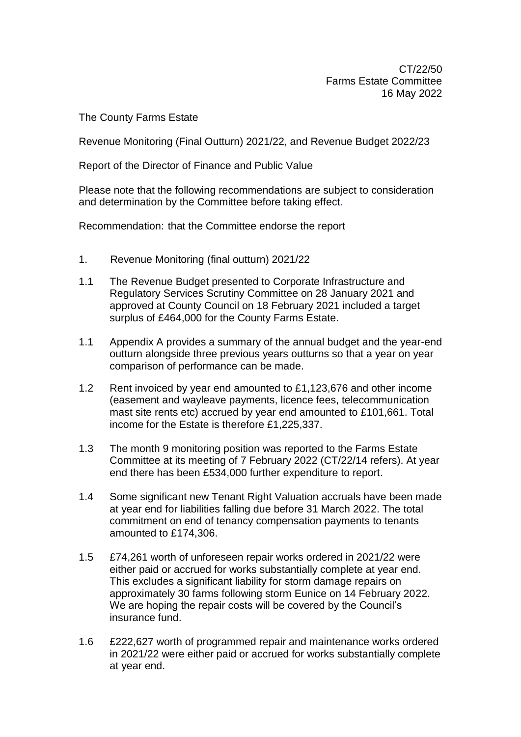CT/22/50 Farms Estate Committee 16 May 2022

The County Farms Estate

Revenue Monitoring (Final Outturn) 2021/22, and Revenue Budget 2022/23

Report of the Director of Finance and Public Value

Please note that the following recommendations are subject to consideration and determination by the Committee before taking effect.

Recommendation: that the Committee endorse the report

- 1. Revenue Monitoring (final outturn) 2021/22
- 1.1 The Revenue Budget presented to Corporate Infrastructure and Regulatory Services Scrutiny Committee on 28 January 2021 and approved at County Council on 18 February 2021 included a target surplus of £464,000 for the County Farms Estate.
- 1.1 Appendix A provides a summary of the annual budget and the year-end outturn alongside three previous years outturns so that a year on year comparison of performance can be made.
- 1.2 Rent invoiced by year end amounted to £1,123,676 and other income (easement and wayleave payments, licence fees, telecommunication mast site rents etc) accrued by year end amounted to £101,661. Total income for the Estate is therefore £1,225,337.
- 1.3 The month 9 monitoring position was reported to the Farms Estate Committee at its meeting of 7 February 2022 (CT/22/14 refers). At year end there has been £534,000 further expenditure to report.
- 1.4 Some significant new Tenant Right Valuation accruals have been made at year end for liabilities falling due before 31 March 2022. The total commitment on end of tenancy compensation payments to tenants amounted to £174,306.
- 1.5 £74,261 worth of unforeseen repair works ordered in 2021/22 were either paid or accrued for works substantially complete at year end. This excludes a significant liability for storm damage repairs on approximately 30 farms following storm Eunice on 14 February 2022. We are hoping the repair costs will be covered by the Council's insurance fund.
- 1.6 £222,627 worth of programmed repair and maintenance works ordered in 2021/22 were either paid or accrued for works substantially complete at year end.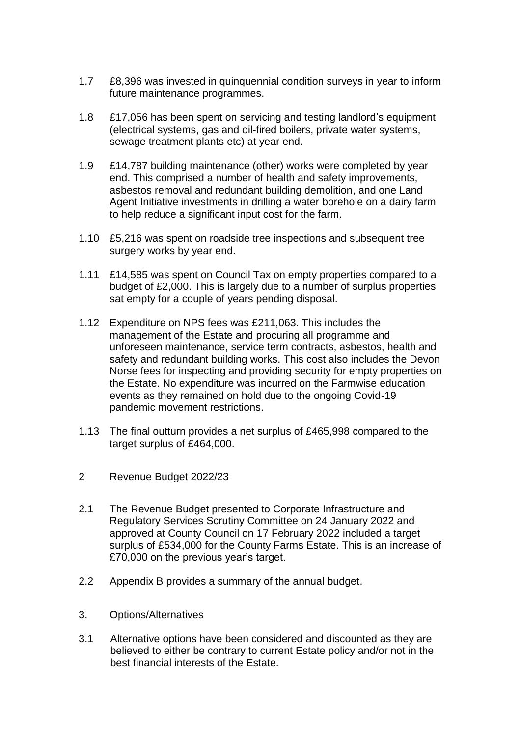- 1.7 £8,396 was invested in quinquennial condition surveys in year to inform future maintenance programmes.
- 1.8 £17,056 has been spent on servicing and testing landlord's equipment (electrical systems, gas and oil-fired boilers, private water systems, sewage treatment plants etc) at year end.
- 1.9 £14,787 building maintenance (other) works were completed by year end. This comprised a number of health and safety improvements, asbestos removal and redundant building demolition, and one Land Agent Initiative investments in drilling a water borehole on a dairy farm to help reduce a significant input cost for the farm.
- 1.10 £5,216 was spent on roadside tree inspections and subsequent tree surgery works by year end.
- 1.11 £14,585 was spent on Council Tax on empty properties compared to a budget of £2,000. This is largely due to a number of surplus properties sat empty for a couple of years pending disposal.
- 1.12 Expenditure on NPS fees was £211,063. This includes the management of the Estate and procuring all programme and unforeseen maintenance, service term contracts, asbestos, health and safety and redundant building works. This cost also includes the Devon Norse fees for inspecting and providing security for empty properties on the Estate. No expenditure was incurred on the Farmwise education events as they remained on hold due to the ongoing Covid-19 pandemic movement restrictions.
- 1.13 The final outturn provides a net surplus of £465,998 compared to the target surplus of £464,000.
- 2 Revenue Budget 2022/23
- 2.1 The Revenue Budget presented to Corporate Infrastructure and Regulatory Services Scrutiny Committee on 24 January 2022 and approved at County Council on 17 February 2022 included a target surplus of £534,000 for the County Farms Estate. This is an increase of £70,000 on the previous year's target.
- 2.2 Appendix B provides a summary of the annual budget.
- 3. Options/Alternatives
- 3.1 Alternative options have been considered and discounted as they are believed to either be contrary to current Estate policy and/or not in the best financial interests of the Estate.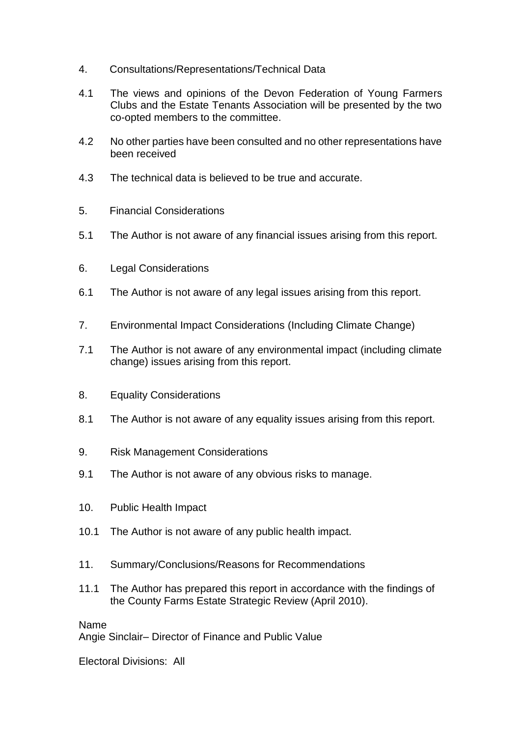- 4. Consultations/Representations/Technical Data
- 4.1 The views and opinions of the Devon Federation of Young Farmers Clubs and the Estate Tenants Association will be presented by the two co-opted members to the committee.
- 4.2 No other parties have been consulted and no other representations have been received
- 4.3 The technical data is believed to be true and accurate.
- 5. Financial Considerations
- 5.1 The Author is not aware of any financial issues arising from this report.
- 6. Legal Considerations
- 6.1 The Author is not aware of any legal issues arising from this report.
- 7. Environmental Impact Considerations (Including Climate Change)
- 7.1 The Author is not aware of any environmental impact (including climate change) issues arising from this report.
- 8. Equality Considerations
- 8.1 The Author is not aware of any equality issues arising from this report.
- 9. Risk Management Considerations
- 9.1 The Author is not aware of any obvious risks to manage.
- 10. Public Health Impact
- 10.1 The Author is not aware of any public health impact.
- 11. Summary/Conclusions/Reasons for Recommendations
- 11.1 The Author has prepared this report in accordance with the findings of the County Farms Estate Strategic Review (April 2010).

Name Angie Sinclair– Director of Finance and Public Value

Electoral Divisions: All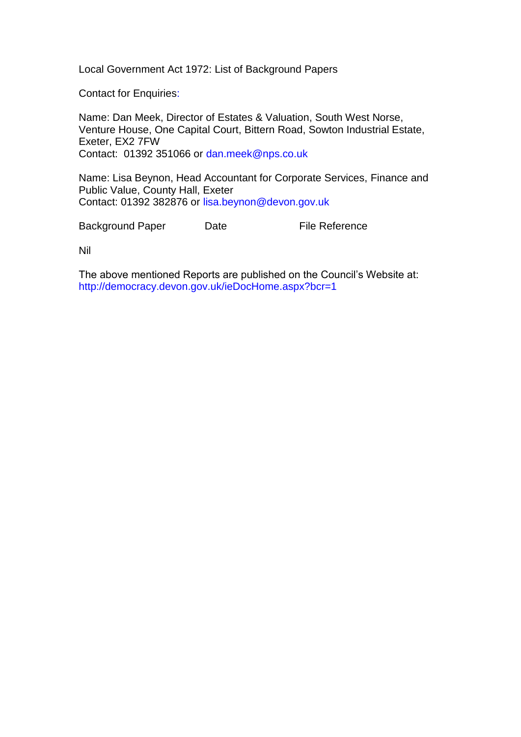Local Government Act 1972: List of Background Papers

Contact for Enquiries:

Name: Dan Meek, Director of Estates & Valuation, South West Norse, Venture House, One Capital Court, Bittern Road, Sowton Industrial Estate, Exeter, EX2 7FW Contact: 01392 351066 or [dan.meek@nps.co.uk](mailto:dan.meek@nps.co.uk)

Name: Lisa Beynon, Head Accountant for Corporate Services, Finance and Public Value, County Hall, Exeter Contact: 01392 382876 or [lisa.beynon@devon.gov.uk](mailto:lisa.beynon@devon.gov.uk)

Background Paper Date File Reference

Nil

The above mentioned Reports are published on the Council's Website at: <http://democracy.devon.gov.uk/ieDocHome.aspx?bcr=1>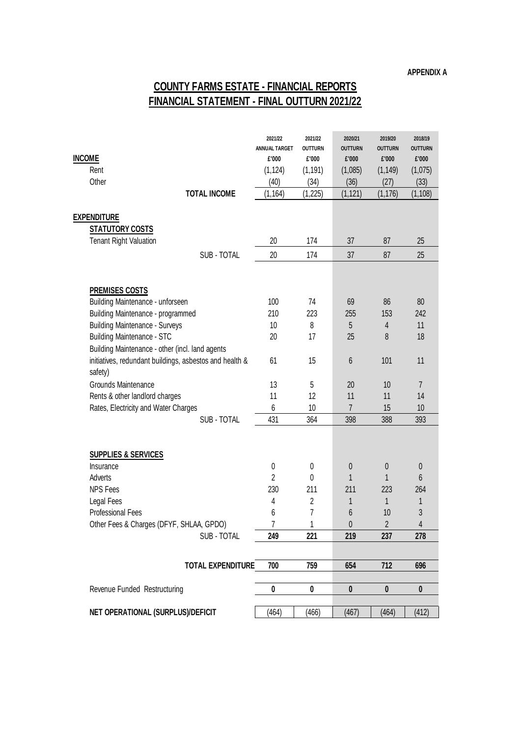## **COUNTY FARMS ESTATE - FINANCIAL REPORTS FINANCIAL STATEMENT - FINAL OUTTURN 2021/22**

| <b>INCOME</b><br>Rent<br>Other                                        |                          | 2021/22<br><b>ANNUAL TARGET</b><br>£'000<br>(1, 124)<br>(40) | 2021/22<br><b>OUTTURN</b><br>£'000<br>(1, 191)<br>(34) | 2020/21<br><b>OUTTURN</b><br>£'000<br>(1,085)<br>(36) | 2019/20<br><b>OUTTURN</b><br>£'000<br>(1, 149)<br>(27) | 2018/19<br><b>OUTTURN</b><br>£'000<br>(1,075)<br>(33) |
|-----------------------------------------------------------------------|--------------------------|--------------------------------------------------------------|--------------------------------------------------------|-------------------------------------------------------|--------------------------------------------------------|-------------------------------------------------------|
|                                                                       | <b>TOTAL INCOME</b>      | (1, 164)                                                     | (1, 225)                                               | (1, 121)                                              | (1, 176)                                               | (1, 108)                                              |
| <b>EXPENDITURE</b>                                                    |                          |                                                              |                                                        |                                                       |                                                        |                                                       |
| <b>STATUTORY COSTS</b>                                                |                          |                                                              |                                                        |                                                       |                                                        |                                                       |
| <b>Tenant Right Valuation</b>                                         |                          | 20                                                           | 174                                                    | 37                                                    | 87                                                     | 25                                                    |
|                                                                       | SUB - TOTAL              | 20                                                           | 174                                                    | 37                                                    | 87                                                     | 25                                                    |
|                                                                       |                          |                                                              |                                                        |                                                       |                                                        |                                                       |
|                                                                       |                          |                                                              |                                                        |                                                       |                                                        |                                                       |
| <b>PREMISES COSTS</b>                                                 |                          | 100                                                          | 74                                                     | 69                                                    |                                                        |                                                       |
| Building Maintenance - unforseen<br>Building Maintenance - programmed |                          | 210                                                          | 223                                                    | 255                                                   | 86<br>153                                              | 80<br>242                                             |
| <b>Building Maintenance - Surveys</b>                                 |                          | 10                                                           | 8                                                      | 5                                                     | 4                                                      | 11                                                    |
| <b>Building Maintenance - STC</b>                                     |                          | 20                                                           | 17                                                     | 25                                                    | 8                                                      | 18                                                    |
| Building Maintenance - other (incl. land agents                       |                          |                                                              |                                                        |                                                       |                                                        |                                                       |
| initiatives, redundant buildings, asbestos and health &               |                          | 61                                                           | 15                                                     | 6                                                     | 101                                                    | 11                                                    |
| safety)                                                               |                          |                                                              |                                                        |                                                       |                                                        |                                                       |
| Grounds Maintenance                                                   |                          | 13                                                           | 5                                                      | 20                                                    | 10                                                     | $\overline{7}$                                        |
| Rents & other landlord charges                                        |                          | 11                                                           | 12                                                     | 11                                                    | 11                                                     | 14                                                    |
| Rates, Electricity and Water Charges                                  |                          | 6                                                            | 10                                                     | 7                                                     | 15                                                     | 10                                                    |
|                                                                       | SUB - TOTAL              | 431                                                          | 364                                                    | 398                                                   | 388                                                    | 393                                                   |
|                                                                       |                          |                                                              |                                                        |                                                       |                                                        |                                                       |
| <b>SUPPLIES &amp; SERVICES</b>                                        |                          |                                                              |                                                        |                                                       |                                                        |                                                       |
| Insurance                                                             |                          | 0                                                            | 0                                                      | 0                                                     | 0                                                      | $\boldsymbol{0}$                                      |
| Adverts                                                               |                          | $\overline{2}$                                               | 0                                                      | 1                                                     | 1                                                      | 6                                                     |
| <b>NPS Fees</b>                                                       |                          | 230                                                          | 211                                                    | 211                                                   | 223                                                    | 264                                                   |
| Legal Fees                                                            |                          | 4                                                            | $\overline{2}$                                         | 1                                                     | 1                                                      | 1                                                     |
| <b>Professional Fees</b>                                              |                          | 6                                                            | 7                                                      | 6                                                     | 10<br>$\overline{2}$                                   | 3                                                     |
| Other Fees & Charges (DFYF, SHLAA, GPDO)<br>SUB - TOTAL               |                          | 7<br>249                                                     | 1<br>221                                               | 0<br>219                                              | 237                                                    | 4<br>278                                              |
|                                                                       |                          |                                                              |                                                        |                                                       |                                                        |                                                       |
|                                                                       | <b>TOTAL EXPENDITURE</b> | 700                                                          | 759                                                    | 654                                                   | 712                                                    | 696                                                   |
|                                                                       |                          |                                                              |                                                        |                                                       |                                                        |                                                       |
| Revenue Funded Restructuring                                          |                          | $\pmb{0}$                                                    | 0                                                      | $\pmb{0}$                                             | $\pmb{0}$                                              | $\pmb{0}$                                             |
|                                                                       |                          |                                                              |                                                        |                                                       |                                                        |                                                       |
| NET OPERATIONAL (SURPLUS)/DEFICIT                                     |                          | (464)                                                        | (466)                                                  | (467)                                                 | (464)                                                  | (412)                                                 |